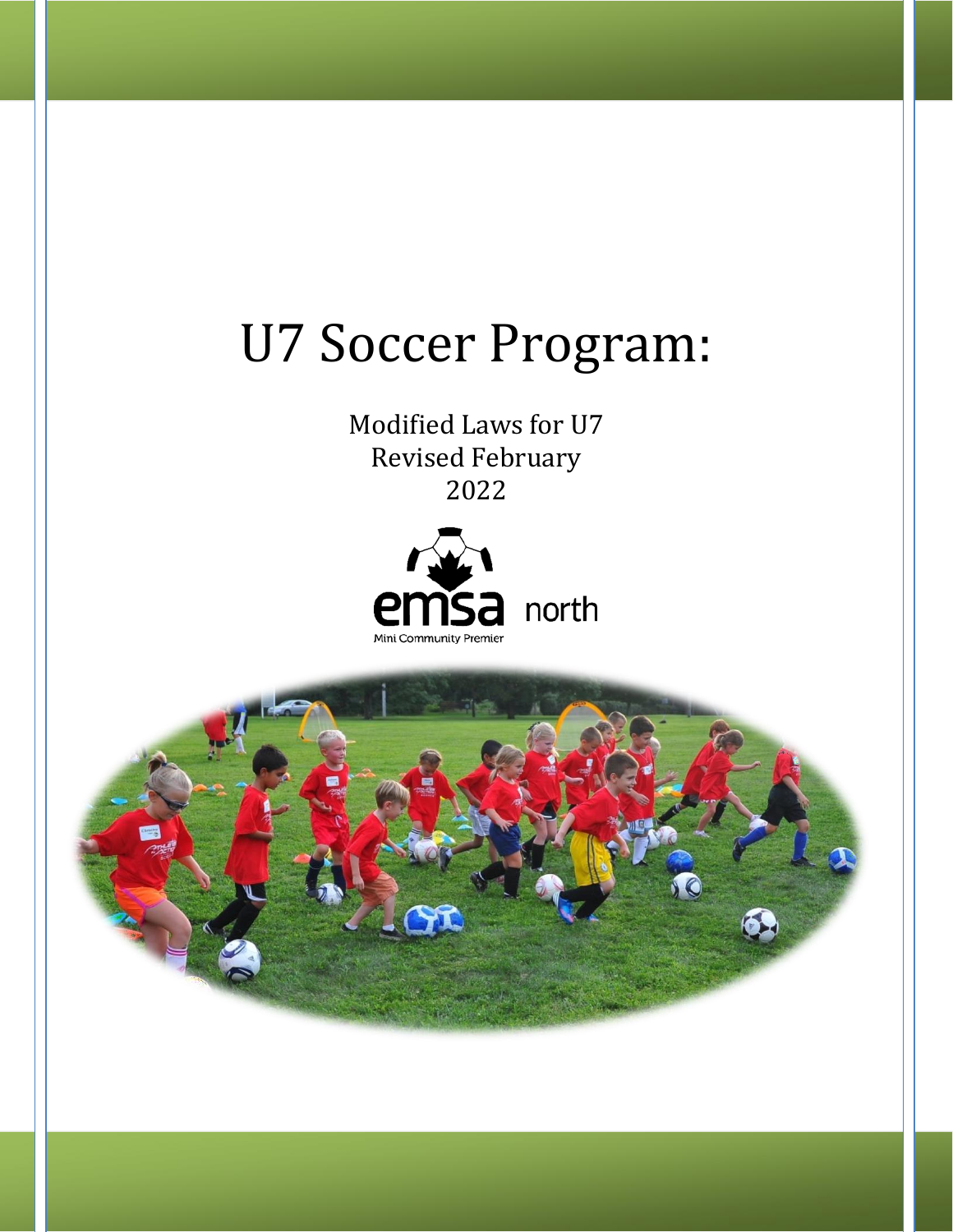# U7 Soccer Program:

Modified Laws for U7 Revised February 2022



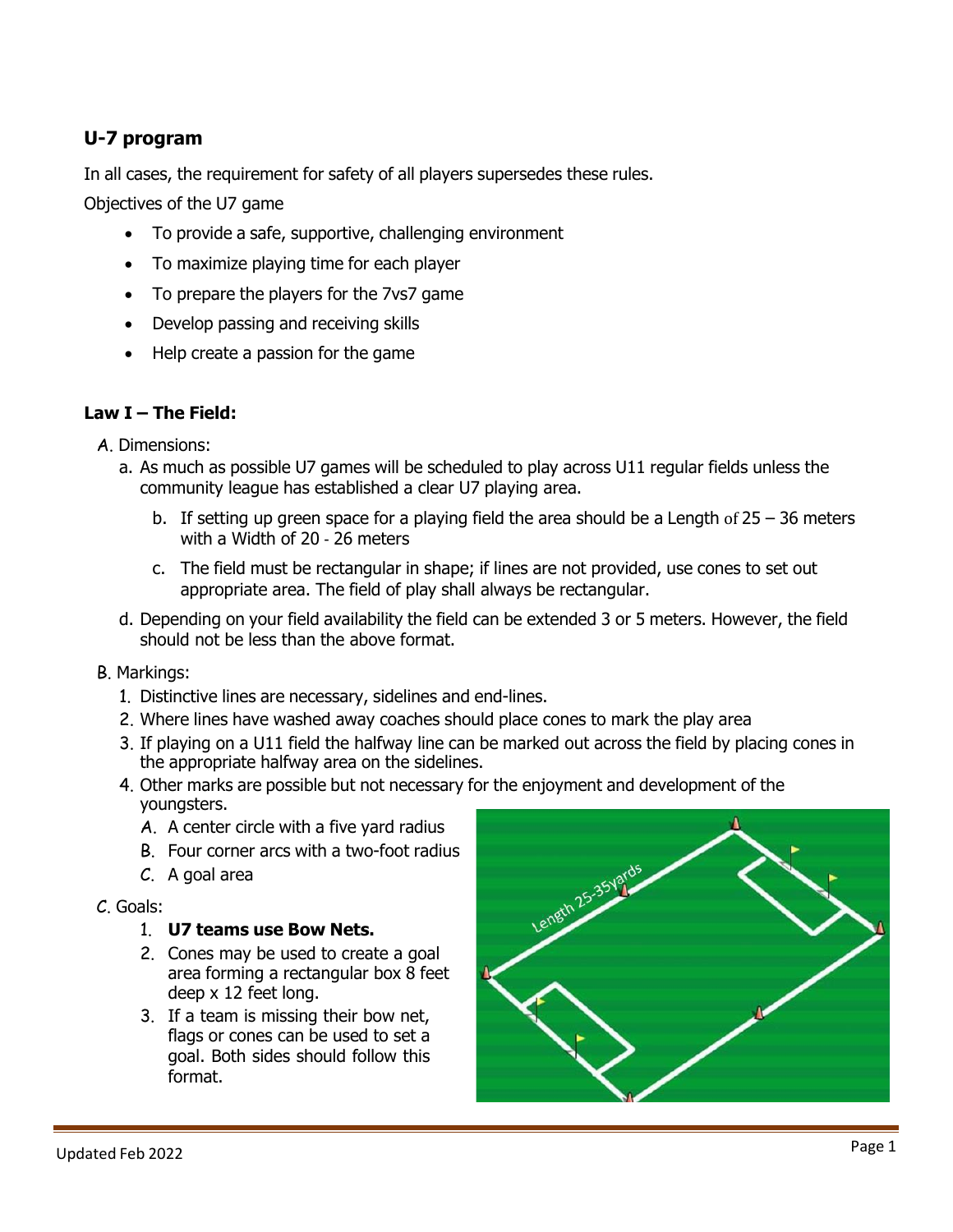# **U-7 program**

In all cases, the requirement for safety of all players supersedes these rules.

Objectives of the U7 game

- To provide a safe, supportive, challenging environment
- To maximize playing time for each player
- To prepare the players for the 7vs7 game
- Develop passing and receiving skills
- Help create a passion for the game

## **Law I – The Field:**

- A. Dimensions:
	- a. As much as possible U7 games will be scheduled to play across U11 regular fields unless the community league has established a clear U7 playing area.
		- b. If setting up green space for a playing field the area should be a Length of  $25 36$  meters with a Width of 20 ‐ 26 meters
		- c. The field must be rectangular in shape; if lines are not provided, use cones to set out appropriate area. The field of play shall always be rectangular.
	- d. Depending on your field availability the field can be extended 3 or 5 meters. However, the field should not be less than the above format.
- B. Markings:
	- 1. Distinctive lines are necessary, sidelines and end-lines.
	- 2. Where lines have washed away coaches should place cones to mark the play area
	- 3. If playing on a U11 field the halfway line can be marked out across the field by placing cones in the appropriate halfway area on the sidelines.
	- 4. Other marks are possible but not necessary for the enjoyment and development of the youngsters.
		- A. A center circle with a five yard radius
		- B. Four corner arcs with a two-foot radius
		- C. A goal area

#### C. Goals:

#### 1. **U7 teams use Bow Nets.**

- 2. Cones may be used to create a goal area forming a rectangular box 8 feet deep x 12 feet long.
- 3. If a team is missing their bow net, flags or cones can be used to set a goal. Both sides should follow this format.

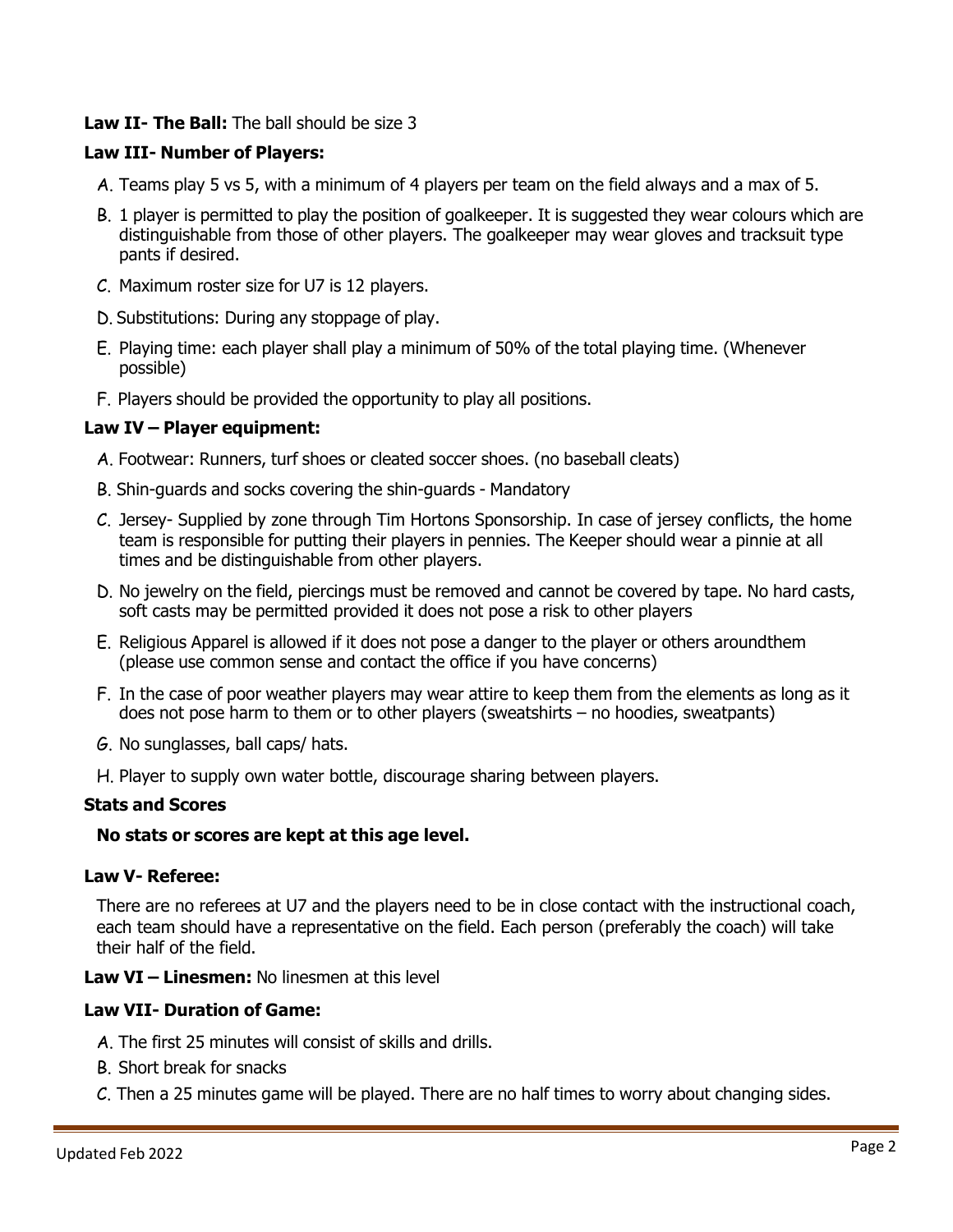## **Law II- The Ball:** The ball should be size 3

## **Law III- Number of Players:**

- A. Teams play 5 vs 5, with a minimum of 4 players per team on the field always and a max of 5.
- B. 1 player is permitted to play the position of goalkeeper. It is suggested they wear colours which are distinguishable from those of other players. The goalkeeper may wear gloves and tracksuit type pants if desired.
- C. Maximum roster size for U7 is 12 players.
- D. Substitutions: During any stoppage of play.
- E. Playing time: each player shall play a minimum of 50% of the total playing time. (Whenever possible)
- F. Players should be provided the opportunity to play all positions.

## **Law IV – Player equipment:**

- A. Footwear: Runners, turf shoes or cleated soccer shoes. (no baseball cleats)
- B. Shin-guards and socks covering the shin-guards Mandatory
- C. Jersey- Supplied by zone through Tim Hortons Sponsorship. In case of jersey conflicts, the home team is responsible for putting their players in pennies. The Keeper should wear a pinnie at all times and be distinguishable from other players.
- D. No jewelry on the field, piercings must be removed and cannot be covered by tape. No hard casts, soft casts may be permitted provided it does not pose a risk to other players
- E. Religious Apparel is allowed if it does not pose a danger to the player or others aroundthem (please use common sense and contact the office if you have concerns)
- F. In the case of poor weather players may wear attire to keep them from the elements as long as it does not pose harm to them or to other players (sweatshirts – no hoodies, sweatpants)
- G. No sunglasses, ball caps/ hats.
- H. Player to supply own water bottle, discourage sharing between players.

#### **Stats and Scores**

#### **No stats or scores are kept at this age level.**

#### **Law V- Referee:**

There are no referees at U7 and the players need to be in close contact with the instructional coach, each team should have a representative on the field. Each person (preferably the coach) will take their half of the field.

**Law VI – Linesmen:** No linesmen at this level

## **Law VII- Duration of Game:**

- A. The first 25 minutes will consist of skills and drills.
- B. Short break for snacks
- C. Then a 25 minutes game will be played. There are no half times to worry about changing sides.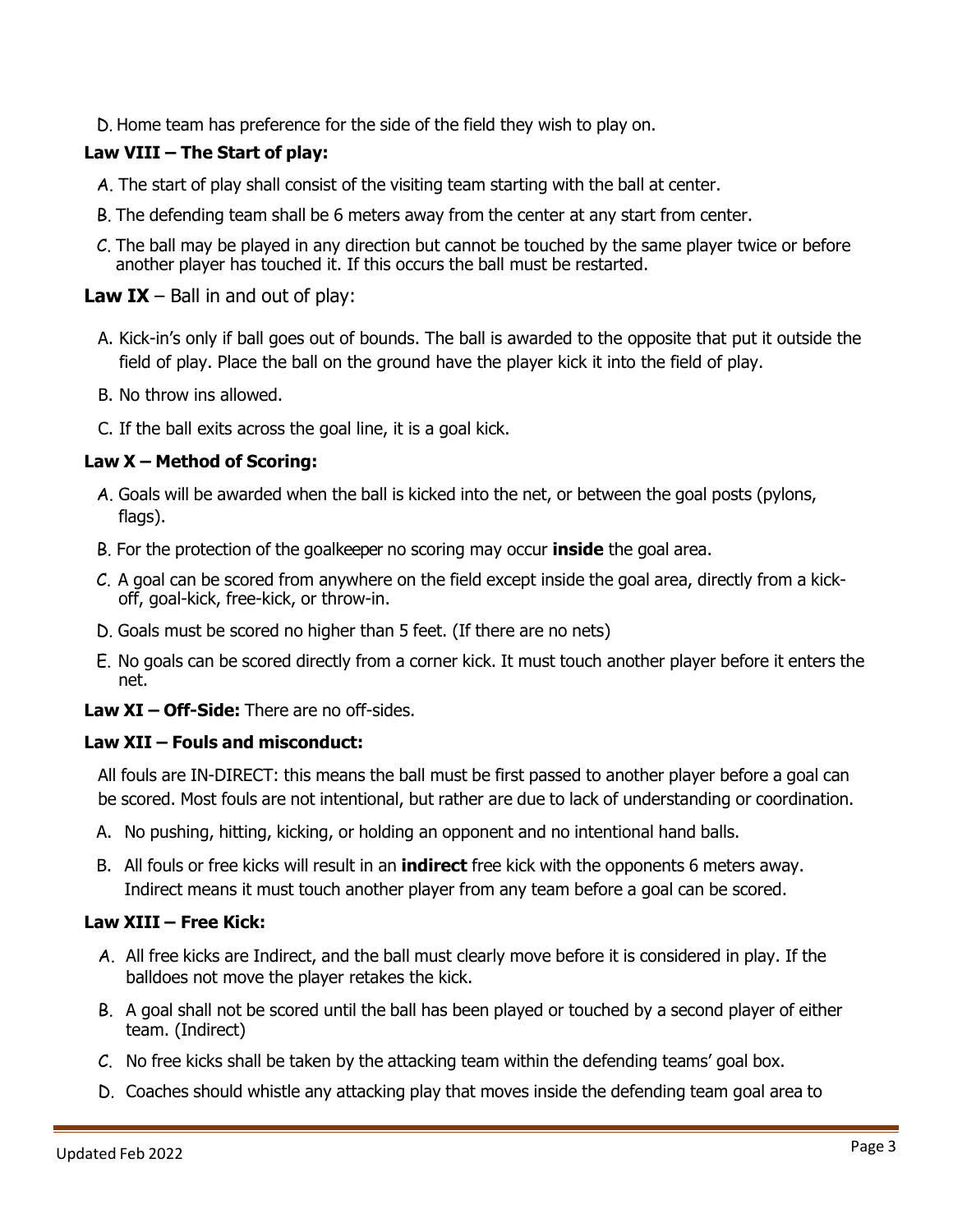D. Home team has preference for the side of the field they wish to play on.

# **Law VIII – The Start of play:**

- A. The start of play shall consist of the visiting team starting with the ball at center.
- B. The defending team shall be 6 meters away from the center at any start from center.
- C. The ball may be played in any direction but cannot be touched by the same player twice or before another player has touched it. If this occurs the ball must be restarted.

# **Law IX** – Ball in and out of play:

- A. Kick-in's only if ball goes out of bounds. The ball is awarded to the opposite that put it outside the field of play. Place the ball on the ground have the player kick it into the field of play.
- B. No throw ins allowed.
- C. If the ball exits across the goal line, it is a goal kick.

# **Law X – Method of Scoring:**

- A. Goals will be awarded when the ball is kicked into the net, or between the goal posts (pylons, flags).
- B. For the protection of the goalkeeper no scoring may occur **inside** the goal area.
- C. A goal can be scored from anywhere on the field except inside the goal area, directly from a kickoff, goal-kick, free-kick, or throw-in.
- D. Goals must be scored no higher than 5 feet. (If there are no nets)
- E. No goals can be scored directly from a corner kick. It must touch another player before it enters the net.
- **Law XI – Off-Side:** There are no off-sides.

# **Law XII – Fouls and misconduct:**

All fouls are IN-DIRECT: this means the ball must be first passed to another player before a goal can be scored. Most fouls are not intentional, but rather are due to lack of understanding or coordination.

- A. No pushing, hitting, kicking, or holding an opponent and no intentional hand balls.
- B. All fouls or free kicks will result in an **indirect** free kick with the opponents 6 meters away. Indirect means it must touch another player from any team before a goal can be scored.

# **Law XIII – Free Kick:**

- A. All free kicks are Indirect, and the ball must clearly move before it is considered in play. If the balldoes not move the player retakes the kick.
- B. A goal shall not be scored until the ball has been played or touched by a second player of either team. (Indirect)
- C. No free kicks shall be taken by the attacking team within the defending teams' goal box.
- D. Coaches should whistle any attacking play that moves inside the defending team goal area to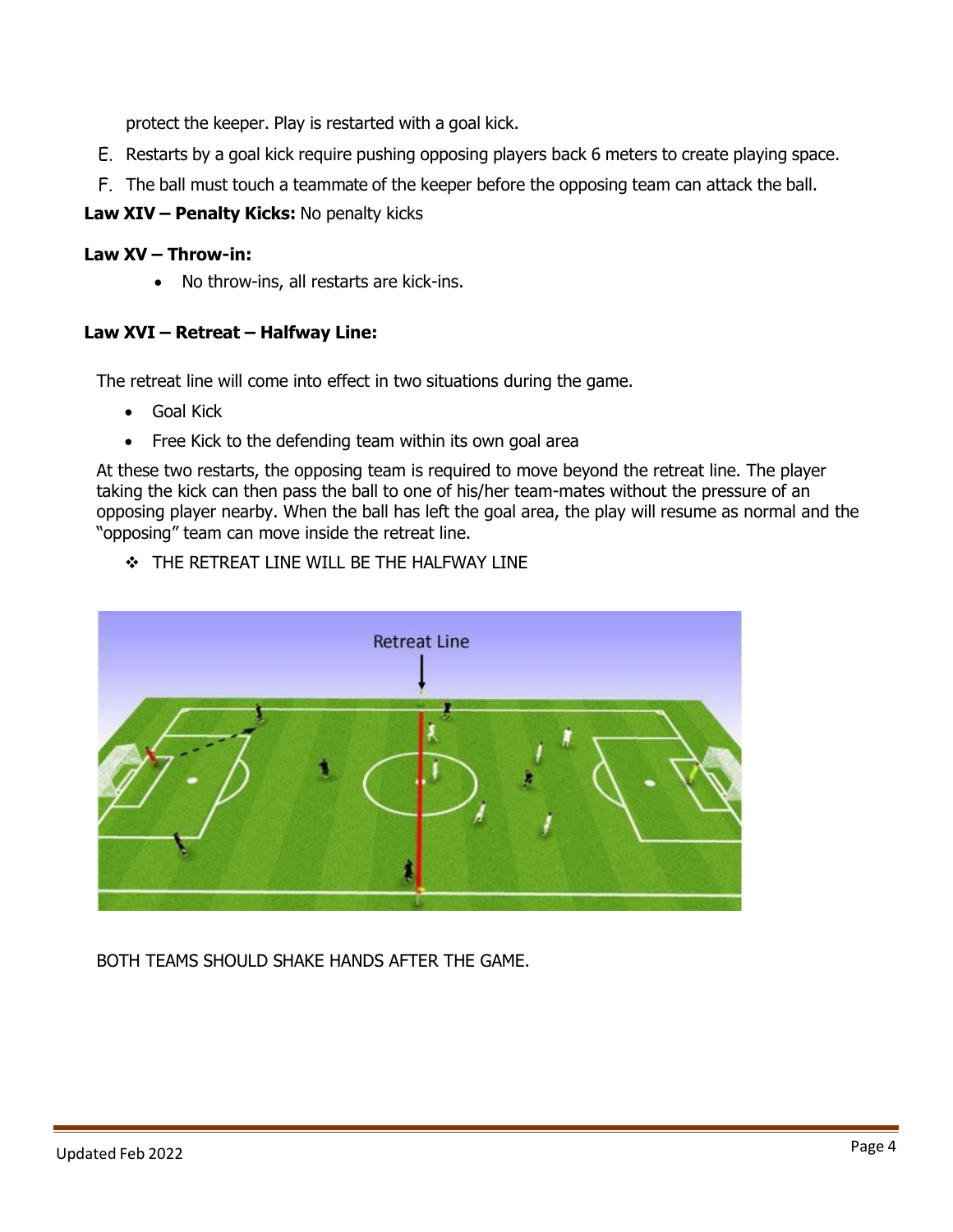protect the keeper. Play is restarted with a goal kick.

- E. Restarts by a goal kick require pushing opposing players back 6 meters to create playing space.
- F. The ball must touch a teammate of the keeper before the opposing team can attack the ball.
- **Law XIV – Penalty Kicks:** No penalty kicks

## **Law XV – Throw-in:**

• No throw-ins, all restarts are kick-ins.

# **Law XVI – Retreat – Halfway Line:**

The retreat line will come into effect in two situations during the game.

- Goal Kick
- Free Kick to the defending team within its own goal area

At these two restarts, the opposing team is required to move beyond the retreat line. The player taking the kick can then pass the ball to one of his/her team-mates without the pressure of an opposing player nearby. When the ball has left the goal area, the play will resume as normal and the "opposing" team can move inside the retreat line.

❖ THE RETREAT LINE WILL BE THE HALFWAY LINE



BOTH TEAMS SHOULD SHAKE HANDS AFTER THE GAME.